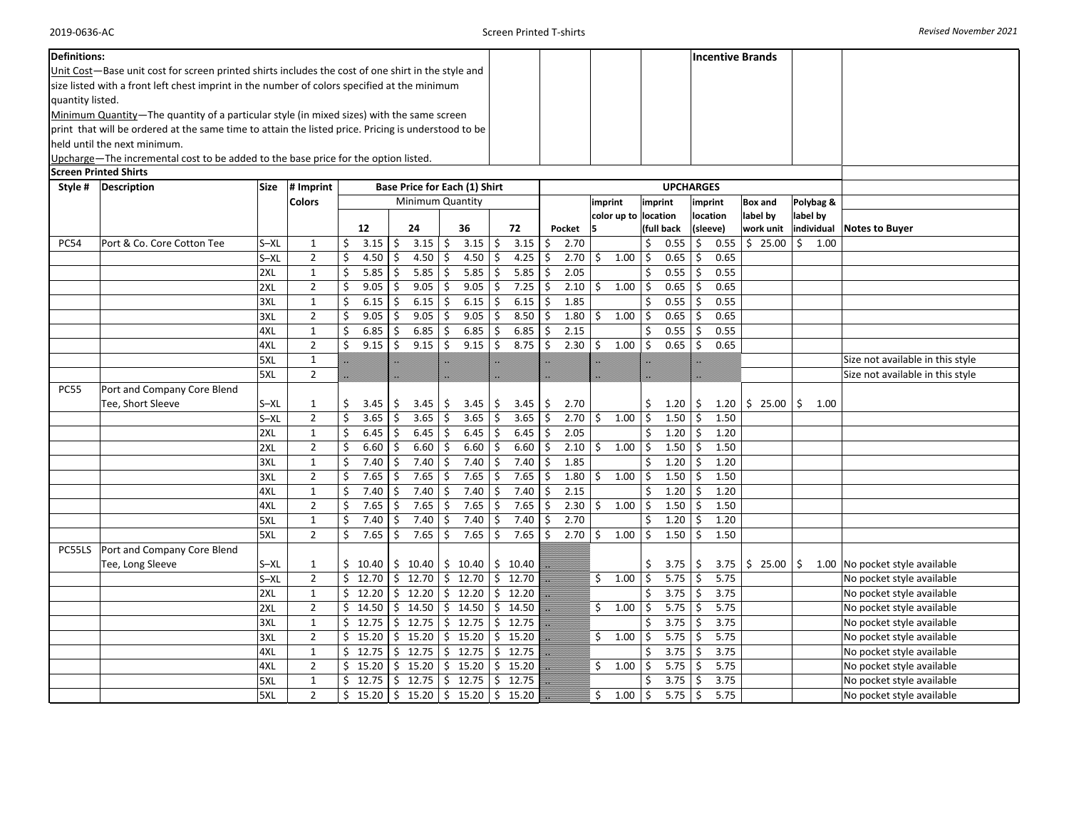|                                                                             | <b>Definitions:</b><br>Unit Cost—Base unit cost for screen printed shirts includes the cost of one shirt in the style and<br>size listed with a front left chest imprint in the number of colors specified at the minimum<br>quantity listed.<br>Minimum Quantity—The quantity of a particular style (in mixed sizes) with the same screen<br>print that will be ordered at the same time to attain the listed price. Pricing is understood to be<br>held until the next minimum.<br>Upcharge—The incremental cost to be added to the base price for the option listed.<br><b>Screen Printed Shirts</b> |                 |                                |          |                  |          |                  |          |                                         |              |                |              |              |                     |                      |          |                  |          |                | <b>Incentive Brands</b> |           |      |                                                        |
|-----------------------------------------------------------------------------|---------------------------------------------------------------------------------------------------------------------------------------------------------------------------------------------------------------------------------------------------------------------------------------------------------------------------------------------------------------------------------------------------------------------------------------------------------------------------------------------------------------------------------------------------------------------------------------------------------|-----------------|--------------------------------|----------|------------------|----------|------------------|----------|-----------------------------------------|--------------|----------------|--------------|--------------|---------------------|----------------------|----------|------------------|----------|----------------|-------------------------|-----------|------|--------------------------------------------------------|
| Base Price for Each (1) Shirt<br>Style #   Description<br>Size<br># Imprint |                                                                                                                                                                                                                                                                                                                                                                                                                                                                                                                                                                                                         |                 |                                |          |                  |          |                  |          |                                         |              |                |              |              |                     |                      |          | <b>UPCHARGES</b> |          |                |                         |           |      |                                                        |
|                                                                             |                                                                                                                                                                                                                                                                                                                                                                                                                                                                                                                                                                                                         |                 | <b>Colors</b>                  |          |                  |          | Minimum Quantity |          |                                         |              |                |              |              | imprint             | imprint              |          | imprint          |          | <b>Box and</b> |                         | Polybag & |      |                                                        |
|                                                                             |                                                                                                                                                                                                                                                                                                                                                                                                                                                                                                                                                                                                         |                 |                                |          |                  |          |                  |          |                                         |              |                |              |              |                     | color up to location |          |                  | location |                | label by                | label by  |      |                                                        |
|                                                                             |                                                                                                                                                                                                                                                                                                                                                                                                                                                                                                                                                                                                         |                 |                                |          | 12               |          | 24               |          | 36                                      |              | 72             |              | Pocket       | 15                  |                      |          | (full back       | (sleeve) |                | work unit               |           |      | individual Notes to Buyer                              |
| <b>PC54</b>                                                                 | Port & Co. Core Cotton Tee                                                                                                                                                                                                                                                                                                                                                                                                                                                                                                                                                                              | $S - XL$        | $\mathbf{1}$                   | \$       | 3.15             | Ŝ.       | 3.15             | \$       | 3.15                                    | \$           | 3.15           | \$           | 2.70         |                     |                      | \$       | 0.55             | \$       | 0.55           | \$25.00                 | \$        | 1.00 |                                                        |
|                                                                             |                                                                                                                                                                                                                                                                                                                                                                                                                                                                                                                                                                                                         | $S - XL$<br>2XL | $\overline{2}$<br>$\mathbf{1}$ | \$       | 4.50<br>5.85     | S        | 4.50<br>5.85     | \$<br>\$ | 4.50<br>5.85                            | \$<br>\$     | 4.25<br>5.85   | \$<br>\$     | 2.70<br>2.05 | \$                  | 1.00                 | \$<br>\$ | 0.65<br>0.55     | \$<br>\$ | 0.65<br>0.55   |                         |           |      |                                                        |
|                                                                             |                                                                                                                                                                                                                                                                                                                                                                                                                                                                                                                                                                                                         | 2XL             | $\overline{2}$                 | Ś        | 9.05             |          | 9.05             | \$       | 9.05                                    | \$           | 7.25           | \$           | 2.10         | l \$                | 1.00                 | \$       | 0.65             | \$       | 0.65           |                         |           |      |                                                        |
|                                                                             |                                                                                                                                                                                                                                                                                                                                                                                                                                                                                                                                                                                                         | 3XL             | $\mathbf 1$                    | \$       | 6.15             | Ś.       | 6.15             | \$       | 6.15                                    | \$           | $6.15$ \$      |              | 1.85         |                     |                      | \$       | 0.55             | \$       | 0.55           |                         |           |      |                                                        |
|                                                                             |                                                                                                                                                                                                                                                                                                                                                                                                                                                                                                                                                                                                         | 3XL             | $\overline{2}$                 | Ś        | 9.05             |          | 9.05             | \$       | 9.05                                    | \$           | 8.50           | \$           | 1.80         | \$                  | 1.00                 | \$       | 0.65             | \$       | 0.65           |                         |           |      |                                                        |
|                                                                             |                                                                                                                                                                                                                                                                                                                                                                                                                                                                                                                                                                                                         | 4XL             | $\mathbf{1}$                   | \$       | 6.85             |          | 6.85             | \$       | 6.85                                    | \$           | 6.85           | \$           | 2.15         |                     |                      | \$       | 0.55             | \$       | 0.55           |                         |           |      |                                                        |
|                                                                             |                                                                                                                                                                                                                                                                                                                                                                                                                                                                                                                                                                                                         | 4XL             | $\overline{2}$                 | \$       | 9.15             | Ś        | 9.15             | \$       | 9.15                                    | \$           | 8.75           | \$           | 2.30         | $\ddot{\mathsf{S}}$ | 1.00                 | \$       | 0.65             | \$       | 0.65           |                         |           |      |                                                        |
|                                                                             |                                                                                                                                                                                                                                                                                                                                                                                                                                                                                                                                                                                                         | 5XL             | $\mathbf{1}$                   |          |                  |          |                  |          |                                         |              |                |              |              |                     |                      |          |                  |          |                |                         |           |      | Size not available in this style                       |
|                                                                             |                                                                                                                                                                                                                                                                                                                                                                                                                                                                                                                                                                                                         | 5XL             | $\overline{2}$                 |          |                  |          |                  |          |                                         |              |                |              |              |                     |                      |          |                  |          |                |                         |           |      | Size not available in this style                       |
| <b>PC55</b>                                                                 | Port and Company Core Blend                                                                                                                                                                                                                                                                                                                                                                                                                                                                                                                                                                             |                 |                                |          |                  |          |                  |          |                                         |              |                |              |              |                     |                      |          |                  |          |                |                         |           |      |                                                        |
|                                                                             | Tee, Short Sleeve                                                                                                                                                                                                                                                                                                                                                                                                                                                                                                                                                                                       | S-XL            | $\mathbf{1}$                   | \$       | 3.45             | \$       | 3.45             | \$       | 3.45                                    | \$           | 3.45           | \$           | 2.70         |                     |                      | \$       | 1.20             | \$       | 1.20           | \$25.00                 | \$        | 1.00 |                                                        |
|                                                                             |                                                                                                                                                                                                                                                                                                                                                                                                                                                                                                                                                                                                         | $S - XL$        | $\overline{2}$                 | \$       | 3.65             |          | 3.65             | Ŝ.       | 3.65                                    | \$           | 3.65           | \$           | 2.70         | Ŝ.                  | 1.00                 | \$       | 1.50             | \$       | 1.50           |                         |           |      |                                                        |
|                                                                             |                                                                                                                                                                                                                                                                                                                                                                                                                                                                                                                                                                                                         | 2XL<br>2XL      | $\mathbf{1}$<br>$\overline{2}$ | \$<br>\$ | 6.45<br>6.60     | \$<br>Ŝ. | 6.45<br>6.60     | \$<br>\$ | 6.45<br>6.60                            | \$ ا<br>\$   | 6.45<br>6.60%  | \$           | 2.05<br>2.10 | \$                  | 1.00                 | \$<br>\$ | 1.20<br>1.50     | \$<br>\$ | 1.20<br>1.50   |                         |           |      |                                                        |
|                                                                             |                                                                                                                                                                                                                                                                                                                                                                                                                                                                                                                                                                                                         | 3XL             | $\mathbf{1}$                   | \$       | 7.40             | .S       | 7.40             | \$       | 7.40                                    | \$           | 7.40           | \$           | 1.85         |                     |                      | \$       | 1.20             | Ś.       | 1.20           |                         |           |      |                                                        |
|                                                                             |                                                                                                                                                                                                                                                                                                                                                                                                                                                                                                                                                                                                         | 3XL             | $\overline{2}$                 | \$       | 7.65             | Ś        | 7.65             | \$       | 7.65                                    | \$           | 7.65           | \$           | 1.80         | \$                  | 1.00                 | \$       | 1.50             | \$       | 1.50           |                         |           |      |                                                        |
|                                                                             |                                                                                                                                                                                                                                                                                                                                                                                                                                                                                                                                                                                                         | 4XL             | $\mathbf{1}$                   | \$       | 7.40             |          | 7.40             | \$       | 7.40                                    | $\mathsf{S}$ | 7.40           | Ŝ.           | 2.15         |                     |                      | \$       | 1.20             | \$       | 1.20           |                         |           |      |                                                        |
|                                                                             |                                                                                                                                                                                                                                                                                                                                                                                                                                                                                                                                                                                                         | 4XL             | $\overline{2}$                 | Ś        | 7.65             | Ś.       | 7.65             | \$       | 7.65                                    | \$           | 7.65           | \$           | 2.30         | \$                  | 1.00                 | \$       | 1.50             | \$       | 1.50           |                         |           |      |                                                        |
|                                                                             |                                                                                                                                                                                                                                                                                                                                                                                                                                                                                                                                                                                                         | 5XL             | $\mathbf{1}$                   |          | 7.40             |          | 7.40             | \$       | 7.40                                    | Ś.           | 7.40           | Ŝ.           | 2.70         |                     |                      | \$       | 1.20             | Ś.       | 1.20           |                         |           |      |                                                        |
|                                                                             |                                                                                                                                                                                                                                                                                                                                                                                                                                                                                                                                                                                                         | 5XL             | $\overline{2}$                 | \$       | 7.65             | Ŝ.       | 7.65             | \$       | 7.65                                    | \$           | 7.65           | $\mathsf{S}$ | 2.70         | $\overline{5}$      | 1.00                 | \$       | 1.50             | \$       | 1.50           |                         |           |      |                                                        |
| PC55LS                                                                      | Port and Company Core Blend                                                                                                                                                                                                                                                                                                                                                                                                                                                                                                                                                                             |                 |                                |          |                  |          |                  |          |                                         |              |                |              |              |                     |                      |          |                  |          |                |                         |           |      |                                                        |
|                                                                             | Tee, Long Sleeve                                                                                                                                                                                                                                                                                                                                                                                                                                                                                                                                                                                        | $S - XL$        | $\mathbf{1}$                   |          | \$10.40          |          | \$10.40          | \$       | $10.40$   \$                            |              | 10.40          |              |              |                     |                      | \$       | 3.75             | \$       | 3.75           | \$25.00                 | Ŝ.        |      | 1.00 No pocket style available                         |
|                                                                             |                                                                                                                                                                                                                                                                                                                                                                                                                                                                                                                                                                                                         | $S - XL$        | $\overline{2}$                 |          | \$12.70          |          | \$12.70          | \$       | 12.70                                   |              | \$12.70        |              |              | \$                  | 1.00                 | \$       | 5.75             | \$       | 5.75           |                         |           |      | No pocket style available                              |
|                                                                             |                                                                                                                                                                                                                                                                                                                                                                                                                                                                                                                                                                                                         | 2XL             | $\mathbf{1}$                   |          | \$12.20          |          | \$12.20          | \$       | 12.20                                   | \$           | 12.20          |              |              |                     |                      | \$       | 3.75             | \$       | 3.75           |                         |           |      | No pocket style available                              |
|                                                                             |                                                                                                                                                                                                                                                                                                                                                                                                                                                                                                                                                                                                         | 2XL             | $\overline{2}$<br>$\mathbf{1}$ | Ś.       | 14.50<br>\$12.75 | Ŝ.<br>Ŝ. | 14.50<br>12.75   | \$<br>\$ | 14.50<br>12.75                          | \$<br>\$     | 14.50<br>12.75 |              |              | \$.                 | 1.00                 | \$<br>\$ | 5.75<br>3.75     | \$<br>\$ | 5.75<br>3.75   |                         |           |      | No pocket style available                              |
|                                                                             |                                                                                                                                                                                                                                                                                                                                                                                                                                                                                                                                                                                                         | 3XL<br>3XL      | $\overline{2}$                 | \$       | 15.20            |          | \$15.20          |          | $$15.20$ $$$                            |              | 15.20          |              |              | \$                  | 1.00                 | \$       | 5.75             | \$       | 5.75           |                         |           |      | No pocket style available<br>No pocket style available |
|                                                                             |                                                                                                                                                                                                                                                                                                                                                                                                                                                                                                                                                                                                         | 4XL             | $\mathbf{1}$                   |          | \$12.75          |          | \$12.75          | \$       | 12.75                                   |              | \$12.75        |              |              |                     |                      | \$       | 3.75             | Ś.       | 3.75           |                         |           |      | No pocket style available                              |
|                                                                             |                                                                                                                                                                                                                                                                                                                                                                                                                                                                                                                                                                                                         | 4XL             | $\overline{2}$                 |          | \$15.20          |          | \$15.20          | Ś.       | 15.20                                   | Ŝ.           | 15.20          |              |              | Ś.                  | 1.00                 | \$       | 5.75             | \$       | 5.75           |                         |           |      | No pocket style available                              |
|                                                                             |                                                                                                                                                                                                                                                                                                                                                                                                                                                                                                                                                                                                         | 5XL             | $\mathbf{1}$                   |          | \$12.75          |          | \$12.75          |          | \$12.75                                 |              | \$12.75        |              |              |                     |                      | \$       | 3.75             | \$       | 3.75           |                         |           |      | No pocket style available                              |
|                                                                             |                                                                                                                                                                                                                                                                                                                                                                                                                                                                                                                                                                                                         | 5XL             | $\overline{2}$                 |          | \$15.20          |          |                  |          | $\frac{1}{2}$ 15.20 $\frac{1}{2}$ 15.20 |              | \$15.20        |              |              | Ś.                  | 1.00                 | \$       | 5.75             | \$       | 5.75           |                         |           |      | No pocket style available                              |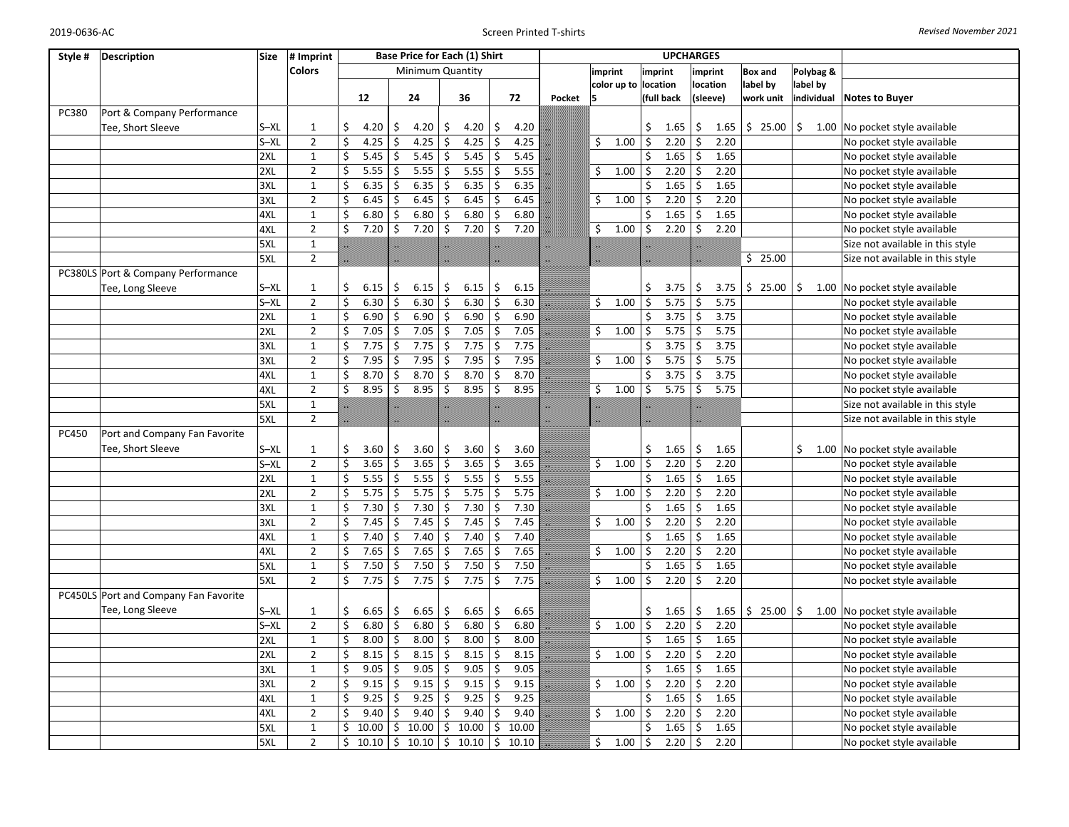| Style # | <b>Description</b>                    | <b>Size</b> | # Imprint      |     |       |              | Base Price for Each (1) Shirt |                         |       |                  |       |        |    |                      |                         | <b>UPCHARGES</b> |                                 |                |            |                                  |
|---------|---------------------------------------|-------------|----------------|-----|-------|--------------|-------------------------------|-------------------------|-------|------------------|-------|--------|----|----------------------|-------------------------|------------------|---------------------------------|----------------|------------|----------------------------------|
|         |                                       |             | <b>Colors</b>  |     |       |              | Minimum Quantity              |                         |       |                  |       |        |    | imprint              | imprint                 |                  | imprint                         | <b>Box and</b> | Polybag &  |                                  |
|         |                                       |             |                |     |       |              |                               |                         |       |                  |       |        |    | color up to location |                         |                  | location                        | label by       | label by   |                                  |
|         |                                       |             |                |     | 12    |              | 24                            |                         | 36    |                  | 72    | Pocket | 15 |                      |                         | (full back       | (sleeve)                        | work unit      | individual | <b>Notes to Buyer</b>            |
| PC380   | Port & Company Performance            |             |                |     |       |              |                               |                         |       |                  |       |        |    |                      |                         |                  |                                 |                |            |                                  |
|         | Tee, Short Sleeve                     | $S - XL$    | $\mathbf{1}$   | \$  | 4.20  | S            | 4.20                          | \$                      | 4.20  | \$               | 4.20  |        |    |                      | \$                      | 1.65             | \$<br>1.65                      | \$25.00        | \$         | 1.00 No pocket style available   |
|         |                                       | $S - XL$    | $\overline{2}$ | \$  | 4.25  | \$           | 4.25                          | $\overline{\mathbf{S}}$ | 4.25  | $\overline{\xi}$ | 4.25  |        | \$ | 1.00                 | $\overline{\mathbf{S}}$ | 2.20             | $\overline{\mathsf{S}}$<br>2.20 |                |            | No pocket style available        |
|         |                                       | 2XL         | $\mathbf 1$    | \$  | 5.45  | \$           | 5.45                          | \$                      | 5.45  | \$               | 5.45  |        |    |                      | \$                      | 1.65             | \$<br>1.65                      |                |            | No pocket style available        |
|         |                                       | 2XL         | $\overline{2}$ | Ś   | 5.55  | \$           | 5.55                          | \$                      | 5.55  | \$               | 5.55  |        | \$ | 1.00                 | \$                      | 2.20             | \$<br>2.20                      |                |            | No pocket style available        |
|         |                                       | 3XL         | $\mathbf 1$    | \$  | 6.35  | Ś.           | 6.35                          | \$                      | 6.35  | \$               | 6.35  |        |    |                      | Ś.                      | 1.65             | Ś.<br>1.65                      |                |            | No pocket style available        |
|         |                                       | 3XL         | $\overline{2}$ | Ś.  | 6.45  | Ś.           | 6.45                          | \$                      | 6.45  | \$               | 6.45  |        | \$ | 1.00                 | \$                      | 2.20             | Ś.<br>2.20                      |                |            | No pocket style available        |
|         |                                       | 4XL         | $\mathbf{1}$   | \$  | 6.80  | Ś            | 6.80                          | Ś                       | 6.80  | Ś                | 6.80  |        |    |                      | \$                      | 1.65             | 1.65<br>\$                      |                |            | No pocket style available        |
|         |                                       | 4XL         | $\overline{2}$ | Ś.  | 7.20  | Ś.           | 7.20                          | Ś                       | 7.20  | Ś.               | 7.20  |        | \$ | 1.00                 | Ŝ.                      | 2.20             | \$<br>2.20                      |                |            | No pocket style available        |
|         |                                       | 5XL         | $\mathbf{1}$   |     |       |              |                               |                         |       |                  |       |        |    |                      |                         |                  |                                 |                |            | Size not available in this style |
|         |                                       | 5XL         | $\mathbf 2$    |     |       |              |                               |                         |       |                  |       |        |    |                      |                         |                  |                                 | \$25.00        |            | Size not available in this style |
|         | PC380LS Port & Company Performance    |             |                |     |       |              |                               |                         |       |                  |       |        |    |                      |                         |                  |                                 |                |            |                                  |
|         | Tee, Long Sleeve                      | $S - XL$    | $\mathbf{1}$   | \$  | 6.15  | \$           | 6.15                          | \$                      | 6.15  | \$               | 6.15  |        |    |                      | \$                      | 3.75             | \$<br>3.75                      | \$25.00        | \$         | 1.00 No pocket style available   |
|         |                                       | $S - XL$    | $\overline{2}$ | \$  | 6.30  | Ś.           | 6.30                          | \$                      | 6.30  | \$               | 6.30  |        | \$ | 1.00                 | \$                      | 5.75             | \$<br>5.75                      |                |            | No pocket style available        |
|         |                                       | 2XL         | $\mathbf{1}$   | \$. | 6.90  | Ś.           | 6.90                          | \$                      | 6.90  | \$               | 6.90  |        |    |                      | \$                      | 3.75             | Ś.<br>3.75                      |                |            | No pocket style available        |
|         |                                       | 2XL         | $\overline{2}$ | Ś   | 7.05  | Ś.           | 7.05                          | \$                      | 7.05  | \$               | 7.05  |        | \$ | 1.00                 | \$                      | 5.75             | Ś.<br>5.75                      |                |            | No pocket style available        |
|         |                                       | 3XL         | $\mathbf{1}$   | Ś   | 7.75  | Ś            | 7.75                          | \$                      | 7.75  | \$               | 7.75  |        |    |                      | \$                      | 3.75             | Ś<br>3.75                       |                |            | No pocket style available        |
|         |                                       | 3XL         | $\overline{2}$ | Ś   | 7.95  | Ś            | 7.95                          | \$                      | 7.95  | \$               | 7.95  |        | \$ | 1.00                 | \$                      | 5.75             | 5.75<br>Ś                       |                |            | No pocket style available        |
|         |                                       | 4XL         | $\mathbf 1$    | Ś   | 8.70  | \$           | 8.70                          | \$                      | 8.70  | \$               | 8.70  |        |    |                      | \$                      | 3.75             | Ś<br>3.75                       |                |            | No pocket style available        |
|         |                                       | 4XL         | $\overline{2}$ | \$  | 8.95  | Ś            | 8.95                          | \$                      | 8.95  | \$               | 8.95  |        | \$ | 1.00                 | \$                      | 5.75             | \$<br>5.75                      |                |            | No pocket style available        |
|         |                                       | 5XL         | $\mathbf 1$    |     |       |              |                               |                         |       |                  |       | æ      | W. |                      |                         |                  |                                 |                |            | Size not available in this style |
|         |                                       | 5XL         | $\overline{2}$ |     |       |              |                               |                         |       |                  |       |        |    |                      |                         |                  |                                 |                |            | Size not available in this style |
| PC450   | Port and Company Fan Favorite         |             |                |     |       |              |                               |                         |       |                  |       |        |    |                      |                         |                  |                                 |                |            |                                  |
|         | Tee, Short Sleeve                     | $S - XL$    | $\mathbf{1}$   | Ś.  | 3.60  | \$           | 3.60                          | \$                      | 3.60  | \$               | 3.60  |        |    |                      | \$                      | 1.65             | \$<br>1.65                      |                | \$         | 1.00 No pocket style available   |
|         |                                       | $S - XL$    | $\overline{2}$ | Ś.  | 3.65  | Ś            | 3.65                          | \$                      | 3.65  | \$               | 3.65  |        | \$ | 1.00                 | \$                      | 2.20             | Ś.<br>2.20                      |                |            | No pocket style available        |
|         |                                       | 2XL         | $\mathbf{1}$   | Ś   | 5.55  | \$           | 5.55                          | \$                      | 5.55  | \$               | 5.55  |        |    |                      | \$                      | 1.65             | Ś<br>1.65                       |                |            | No pocket style available        |
|         |                                       | 2XL         | $\overline{2}$ | \$  | 5.75  | \$           | 5.75                          | \$                      | 5.75  | \$               | 5.75  |        | \$ | 1.00                 | \$                      | 2.20             | \$<br>2.20                      |                |            | No pocket style available        |
|         |                                       | 3XL         | $\mathbf{1}$   | \$  | 7.30  | $\mathsf{S}$ | 7.30                          | \$                      | 7.30  | \$               | 7.30  | z      |    |                      | \$                      | 1.65             | \$<br>1.65                      |                |            | No pocket style available        |
|         |                                       | 3XL         | $\overline{2}$ | Ś.  | 7.45  | \$           | 7.45                          | \$                      | 7.45  | \$               | 7.45  |        | \$ | 1.00                 | \$                      | 2.20             | \$<br>2.20                      |                |            | No pocket style available        |
|         |                                       | 4XL         | $\mathbf{1}$   | \$  | 7.40  | \$           | 7.40                          | \$                      | 7.40  | \$               | 7.40  |        |    |                      | \$                      | 1.65             | \$<br>1.65                      |                |            | No pocket style available        |
|         |                                       | 4XL         | $\overline{2}$ | Ś.  | 7.65  | \$           | 7.65                          | \$                      | 7.65  | \$               | 7.65  |        | \$ | 1.00                 | \$                      | 2.20             | Ś.<br>2.20                      |                |            | No pocket style available        |
|         |                                       | 5XL         | $\mathbf 1$    | Ś.  | 7.50  | \$           | 7.50                          | \$                      | 7.50  | \$               | 7.50  |        |    |                      | \$                      | 1.65             | \$<br>1.65                      |                |            | No pocket style available        |
|         |                                       | 5XL         | $\overline{2}$ | \$  | 7.75  | \$           | 7.75                          | \$                      | 7.75  | \$               | 7.75  |        | \$ | 1.00                 | \$                      | 2.20             | \$<br>2.20                      |                |            | No pocket style available        |
|         | PC450LS Port and Company Fan Favorite |             |                |     |       |              |                               |                         |       |                  |       |        |    |                      |                         |                  |                                 |                |            |                                  |
|         | Tee, Long Sleeve                      | $S - XL$    |                | \$  |       |              |                               |                         |       |                  |       |        |    |                      |                         |                  | 1.65                            |                |            |                                  |
|         |                                       |             | $\mathbf{1}$   |     | 6.65  | \$           | 6.65                          | \$                      | 6.65  | \$               | 6.65  | B      |    |                      | \$                      | 1.65             | \$                              | \$25.00        | \$         | 1.00 No pocket style available   |
|         |                                       | $S - XL$    | $\overline{2}$ | \$  | 6.80  | \$           | 6.80                          | \$                      | 6.80  | \$               | 6.80  |        | \$ | 1.00                 | \$                      | 2.20             | \$<br>2.20                      |                |            | No pocket style available        |
|         |                                       | 2XL         | $\mathbf{1}$   | \$  | 8.00  | \$           | 8.00                          | \$                      | 8.00  | \$               | 8.00  |        |    |                      | \$                      | 1.65             | Ś.<br>1.65                      |                |            | No pocket style available        |
|         |                                       | 2XL         | $\overline{2}$ | Ś.  | 8.15  | Ś.           | 8.15                          | \$                      | 8.15  | Ś.               | 8.15  |        | \$ | 1.00                 | \$                      | 2.20             | Ś.<br>2.20                      |                |            | No pocket style available        |
|         |                                       | 3XL         | $\mathbf{1}$   | Ś   | 9.05  | Ś            | 9.05                          | \$                      | 9.05  | \$               | 9.05  |        |    |                      | \$                      | 1.65             | \$<br>1.65                      |                |            | No pocket style available        |
|         |                                       | 3XL         | $\overline{2}$ | Ś   | 9.15  | Ś            | 9.15                          | \$                      | 9.15  | \$               | 9.15  |        | \$ | 1.00                 | \$                      | 2.20             | \$<br>2.20                      |                |            | No pocket style available        |
|         |                                       | 4XL         | $\mathbf{1}$   | \$  | 9.25  | \$           | 9.25                          | \$                      | 9.25  | \$               | 9.25  |        |    |                      | \$                      | 1.65             | \$<br>1.65                      |                |            | No pocket style available        |
|         |                                       | 4XL         | $\overline{2}$ | Ś   | 9.40  | Ś.           | 9.40                          | \$                      | 9.40  | \$               | 9.40  |        | \$ | 1.00                 | \$                      | 2.20             | \$<br>2.20                      |                |            | No pocket style available        |
|         |                                       | 5XL         | $\mathbf 1$    | \$  | 10.00 | \$           | 10.00                         | \$                      | 10.00 | \$               | 10.00 |        |    |                      | \$                      | 1.65             | 1.65<br>\$                      |                |            | No pocket style available        |
|         |                                       | 5XL         | $\overline{2}$ | Ś.  | 10.10 | \$           | 10.10                         | \$                      | 10.10 | \$               | 10.10 |        | \$ | 1.00                 | \$                      | 2.20             | \$<br>2.20                      |                |            | No pocket style available        |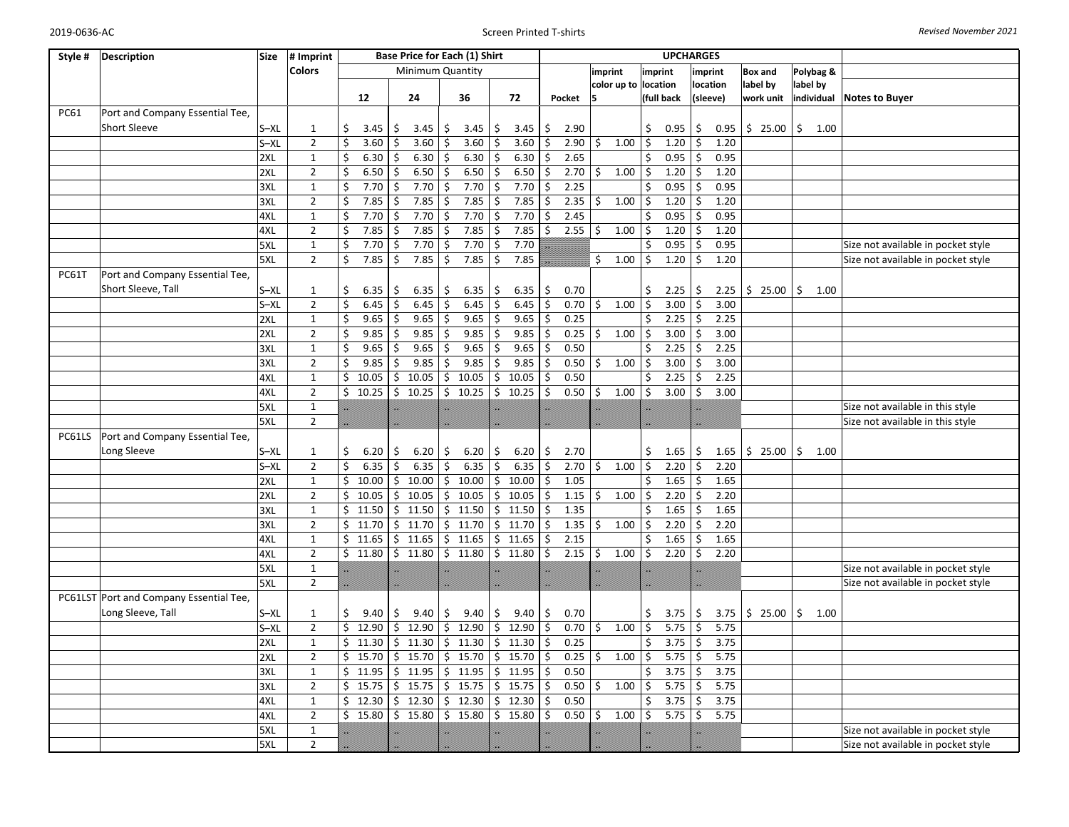| <b>Colors</b><br>Minimum Quantity<br>imprint<br>Polybag &<br>imprint<br>imprint<br><b>Box and</b><br>color up to location<br>label by<br>location<br>label by<br>24<br>36<br>72<br>12<br>Pocket<br>15<br>(full back<br>(sleeve)<br>work unit<br>individual Notes to Buyer<br>Port and Company Essential Tee,<br><b>PC61</b><br><b>Short Sleeve</b><br>$S - XL$<br>\$<br>\$<br>\$<br>2.90<br>\$<br>0.95<br>\$<br>\$25.00<br>\$<br>1.00<br>$\mathbf{1}$<br>3.45<br>3.45<br>3.45<br>3.45<br>Ŝ.<br>0.95<br>S<br>$S - XL$<br>$\overline{2}$<br>\$<br>3.60<br>3.60<br>\$<br>\$<br>3.60<br>2.90 |  |
|------------------------------------------------------------------------------------------------------------------------------------------------------------------------------------------------------------------------------------------------------------------------------------------------------------------------------------------------------------------------------------------------------------------------------------------------------------------------------------------------------------------------------------------------------------------------------------------|--|
|                                                                                                                                                                                                                                                                                                                                                                                                                                                                                                                                                                                          |  |
|                                                                                                                                                                                                                                                                                                                                                                                                                                                                                                                                                                                          |  |
|                                                                                                                                                                                                                                                                                                                                                                                                                                                                                                                                                                                          |  |
|                                                                                                                                                                                                                                                                                                                                                                                                                                                                                                                                                                                          |  |
|                                                                                                                                                                                                                                                                                                                                                                                                                                                                                                                                                                                          |  |
| 3.60<br>\$<br>1.00<br>\$<br>1.20<br>\$<br>1.20<br>Ś.<br>\$                                                                                                                                                                                                                                                                                                                                                                                                                                                                                                                               |  |
| \$<br>2XL<br>$\mathbf{1}$<br>6.30<br>6.30<br>6.30<br>6.30<br>2.65<br>\$<br>0.95<br>\$<br>0.95<br>Ŝ.<br>Ś<br>Ś.<br>Ŝ.                                                                                                                                                                                                                                                                                                                                                                                                                                                                     |  |
| $\overline{2}$<br>\$<br>6.50<br>6.50<br>6.50<br>6.50<br>2.70<br>1.00<br>1.20<br>1.20<br>2XL<br>Ŝ.<br>\$<br>\$<br>\$<br>\$<br>\$                                                                                                                                                                                                                                                                                                                                                                                                                                                          |  |
| 7.70<br>$\mathbf{1}$<br>Ś<br>7.70<br>7.70<br>7.70<br>\$<br>2.25<br>\$<br>0.95<br>Ś.<br>0.95<br>3XL<br>\$<br>\$                                                                                                                                                                                                                                                                                                                                                                                                                                                                           |  |
| $\mathbf 2$<br>\$<br>7.85<br>7.85<br>Ś.<br>7.85<br>Ś.<br>7.85<br>2.35<br>\$<br>1.00<br>\$<br>1.20<br>\$<br>1.20<br>3XL<br>\$                                                                                                                                                                                                                                                                                                                                                                                                                                                             |  |
| 7.70<br>$\mathbf{1}$<br>Ś<br>7.70<br>\$<br>7.70<br>\$<br>2.45<br>\$<br>0.95<br>4XL<br>7.70<br>\$<br>0.95<br>\$<br>\$                                                                                                                                                                                                                                                                                                                                                                                                                                                                     |  |
| 4XL<br>\$<br>7.85<br>\$<br>7.85<br>7.85<br>2.55<br>$\overline{2}$<br>7.85<br>\$<br>\$<br> \$<br>1.00<br>\$<br>1.20<br>\$<br>1.20                                                                                                                                                                                                                                                                                                                                                                                                                                                         |  |
| 7.70<br>7.70<br>$\overline{\mathbf{S}}$<br>7.70<br>7.70<br>$\mathbf{1}$<br>\$<br>\$<br>\$<br>0.95<br>\$<br>0.95<br>5XL<br>\$<br>Size not available in pocket style                                                                                                                                                                                                                                                                                                                                                                                                                       |  |
| $\overline{2}$<br>\$<br>$\ddot{\mathsf{S}}$<br>7.85<br>$\ddot{\mathsf{S}}$<br>$\frac{1}{2}$<br>5XL<br>7.85<br>\$<br>7.85<br>7.85<br>\$<br>1.00<br>\$<br>1.20<br>1.20<br>Size not available in pocket style                                                                                                                                                                                                                                                                                                                                                                               |  |
| <b>PC61T</b><br>Port and Company Essential Tee,                                                                                                                                                                                                                                                                                                                                                                                                                                                                                                                                          |  |
| Short Sleeve, Tall<br>$S - XL$<br>\$<br>Ś<br>6.35<br>6.35<br>\$<br>6.35<br>\$<br>6.35<br>\$<br>0.70<br>\$<br>2.25<br>\$<br>2.25<br>\$25.00<br>1.00<br>$\mathbf{1}$<br>\$                                                                                                                                                                                                                                                                                                                                                                                                                 |  |
| $\sqrt{2}$<br>\$<br>\$<br>6.45<br>\$<br>\$<br>\$<br>3.00<br>$S - XL$<br>6.45<br>6.45<br>6.45<br>\$<br>0.70<br>\$<br>1.00<br>3.00<br>Ś.                                                                                                                                                                                                                                                                                                                                                                                                                                                   |  |
| $\mathbf 1$<br>Ś<br>9.65<br>9.65<br>\$<br>9.65<br>\$<br>9.65<br>\$<br>2.25<br>\$<br>2XL<br>0.25<br>2.25<br>\$<br>\$                                                                                                                                                                                                                                                                                                                                                                                                                                                                      |  |
| \$<br>\$<br>2XL<br>$\overline{2}$<br>9.85<br>9.85<br>\$<br>9.85<br>\$<br>9.85<br>0.25<br>\$<br>1.00<br>\$<br>3.00<br>3.00<br>Ś.<br>\$                                                                                                                                                                                                                                                                                                                                                                                                                                                    |  |
| 9.65<br>9.65<br>9.65<br>2.25<br>\$<br>2.25<br>$\mathbf{1}$<br>\$<br>9.65<br>\$<br>\$<br>\$<br>0.50<br>\$<br>3XL<br>\$                                                                                                                                                                                                                                                                                                                                                                                                                                                                    |  |
| $\overline{2}$<br>Ś.<br>9.85<br>\$<br>9.85<br>9.85<br>1.00<br>3.00<br>\$<br>3.00<br>3XL<br>9.85<br>Ś.<br>Ŝ.<br>0.50<br>$\mathsf{S}$<br>\$<br>Ś.                                                                                                                                                                                                                                                                                                                                                                                                                                          |  |
| $\mathbf{1}$<br>Ś.<br>10.05<br>10.05<br>\$<br>10.05<br>10.05<br>0.50<br>\$<br>2.25<br>\$<br>2.25<br>4XL<br>\$<br>Ŝ.<br>Ŝ.                                                                                                                                                                                                                                                                                                                                                                                                                                                                |  |
| 4XL<br>$\overline{2}$<br>\$10.25<br>10.25<br>Ś.<br>Ś.<br>1.00<br>\$<br>\$<br>3.00<br>10.25<br>10.25<br>Ŝ.<br>0.50<br>\$<br>3.00<br>Ś.                                                                                                                                                                                                                                                                                                                                                                                                                                                    |  |
| 5XL<br>$\mathbf{1}$<br>Size not available in this style                                                                                                                                                                                                                                                                                                                                                                                                                                                                                                                                  |  |
| 5XL<br>$\overline{2}$<br>Size not available in this style                                                                                                                                                                                                                                                                                                                                                                                                                                                                                                                                |  |
| PC61LS<br>Port and Company Essential Tee,                                                                                                                                                                                                                                                                                                                                                                                                                                                                                                                                                |  |
| Long Sleeve<br>$S - XL$<br>$6.20$ \$<br>$$25.00$ \$<br>6.20<br>6.20<br>\$<br>6.20<br>  \$<br>2.70<br>\$<br>1.65<br>\$<br>1.65<br>1.00<br>1<br>\$<br>-\$                                                                                                                                                                                                                                                                                                                                                                                                                                  |  |
| \$<br>$S - XL$<br>$\overline{2}$<br>6.35<br>6.35<br>\$<br>6.35<br>$\mathsf{\hat{S}}$<br>6.35<br>S.<br>2.70<br>1.00<br>\$<br>2.20<br>\$<br>2.20<br>Ś.<br>\$                                                                                                                                                                                                                                                                                                                                                                                                                               |  |
| $\mathbf{1}$<br>\$<br>10.00<br>10.00<br>\$<br>10.00<br>10.00<br>1.05<br>\$<br>1.65<br>\$<br>1.65<br>2XL<br>\$<br>\$<br>\$                                                                                                                                                                                                                                                                                                                                                                                                                                                                |  |
| 2XL<br>$\overline{2}$<br>\$<br>10.05<br>10.05<br>\$<br>10.05<br>10.05<br>1.15<br>1.00<br>\$<br>2.20<br>\$<br>2.20<br>Ś.<br>\$<br>Ś.<br>\$                                                                                                                                                                                                                                                                                                                                                                                                                                                |  |
| 3XL<br>\$11.50<br>\$11.50<br>11.50<br>11.50<br>1.35<br>\$<br>1.65<br>\$<br>1.65<br>$\mathbf{1}$<br>\$<br>\$<br>\$                                                                                                                                                                                                                                                                                                                                                                                                                                                                        |  |
| $\overline{2}$<br>\$<br>11.70<br>11.70<br>11.70<br>11.70<br>1.35<br>1.00<br>\$<br>2.20<br>\$<br>2.20<br>3XL<br>\$<br>\$<br>\$<br>\$<br>\$                                                                                                                                                                                                                                                                                                                                                                                                                                                |  |
| \$11.65<br>\$11.65<br>11.65<br>11.65<br>2.15<br>\$<br>1.65<br>\$<br>1.65<br>4XL<br>$\mathbf{1}$<br>\$<br>\$<br>\$                                                                                                                                                                                                                                                                                                                                                                                                                                                                        |  |
| $\overline{2}$<br>\$11.80<br>\$<br>\$<br>2.15<br>\$<br>1.00<br>\$<br>\$<br>4XL<br>\$<br>11.80<br>11.80<br>11.80<br>\$<br>2.20<br>2.20                                                                                                                                                                                                                                                                                                                                                                                                                                                    |  |
| 5XL<br>$\mathbf 1$<br>Size not available in pocket style                                                                                                                                                                                                                                                                                                                                                                                                                                                                                                                                 |  |
| 5XL<br>$\overline{2}$<br>Size not available in pocket style                                                                                                                                                                                                                                                                                                                                                                                                                                                                                                                              |  |
| PC61LST Port and Company Essential Tee,                                                                                                                                                                                                                                                                                                                                                                                                                                                                                                                                                  |  |
| Long Sleeve, Tall<br>$S - XL$<br>9.40<br>9.40<br>\$<br>\$<br>\$<br>0.70<br>3.75<br>\$<br>3.75<br>\$25.00<br>\$<br>1<br>Ś.<br>\$<br>9.40<br>9.40<br>\$<br>1.00                                                                                                                                                                                                                                                                                                                                                                                                                            |  |
| \$12.90<br>$\overline{2}$<br>\$12.90<br>\$<br>12.90<br>\$<br>12.90<br>\$<br>0.70<br>\$<br>5.75<br>$S - XL$<br>\$<br>1.00<br>5.75<br>\$                                                                                                                                                                                                                                                                                                                                                                                                                                                   |  |
| $\mathbf{1}$<br>Ś.<br>11.30<br>11.30<br>11.30<br>0.25<br>3.75<br>3.75<br>2XL<br>Ś.<br>\$<br>11.30<br>\$<br>\$<br>\$<br>S.                                                                                                                                                                                                                                                                                                                                                                                                                                                                |  |
| $\overline{2}$<br>\$.<br>15.70<br>15.70<br>15.70<br>15.70<br>0.25<br>1.00<br>\$<br>5.75<br>\$<br>5.75<br>2XL<br>\$<br>\$<br>\$<br>$\frac{1}{2}$                                                                                                                                                                                                                                                                                                                                                                                                                                          |  |
| $\mathbf 1$<br>0.50<br>3.75<br>3XL<br>\$11.95<br>11.95<br>\$<br>11.95<br>Ś.<br>11.95<br>\$<br>3.75<br>\$<br>\$<br>Ŝ.                                                                                                                                                                                                                                                                                                                                                                                                                                                                     |  |
| 15.75<br>15.75<br>15.75<br>5.75<br>3XL<br>$\overline{2}$<br>\$<br>15.75<br>\$<br>\$<br>0.50<br>$\ddot{\phi}$<br>1.00<br>\$<br>\$<br>5.75<br>\$<br>\$                                                                                                                                                                                                                                                                                                                                                                                                                                     |  |
| 12.30<br>\$12.30<br>12.30<br>\$<br>12.30<br>0.50<br>3.75<br>4XL<br>$\mathbf{1}$<br>\$<br>\$<br>\$<br>3.75<br>\$<br>Ŝ.                                                                                                                                                                                                                                                                                                                                                                                                                                                                    |  |
| $\overline{2}$<br>\$15.80<br>\$15.80<br>\$15.80<br>\$15.80<br>0.50<br>  \$<br>1.00<br>\$<br>5.75<br>\$<br>5.75<br>4XL<br>Ŝ.                                                                                                                                                                                                                                                                                                                                                                                                                                                              |  |
| 5XL<br>$\mathbf{1}$<br>Size not available in pocket style                                                                                                                                                                                                                                                                                                                                                                                                                                                                                                                                |  |
| 5XL<br>$\overline{2}$<br>Size not available in pocket style                                                                                                                                                                                                                                                                                                                                                                                                                                                                                                                              |  |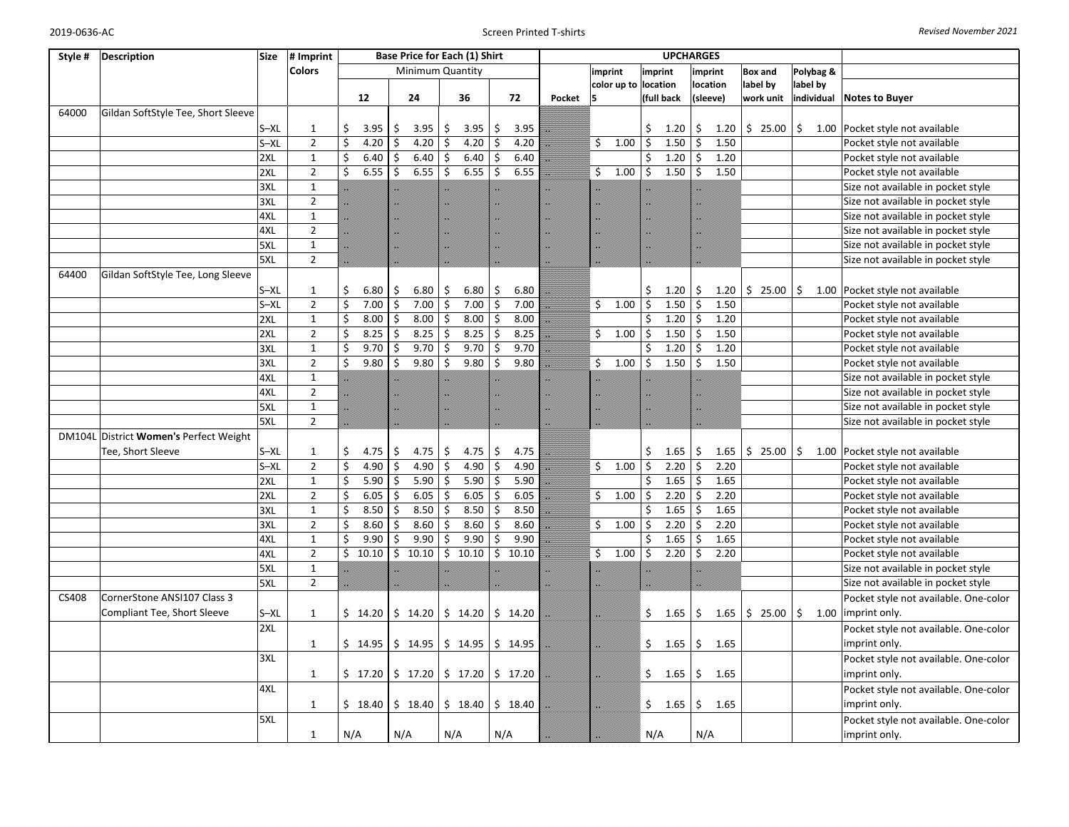| Style # | <b>Description</b>                     | <b>Size</b>   | # Imprint      |     |         |     |                  |     | Base Price for Each (1) Shirt       |     |       |        |    |                      |         | <b>UPCHARGES</b>  |               |      |             |           |            |                                                           |
|---------|----------------------------------------|---------------|----------------|-----|---------|-----|------------------|-----|-------------------------------------|-----|-------|--------|----|----------------------|---------|-------------------|---------------|------|-------------|-----------|------------|-----------------------------------------------------------|
|         |                                        | <b>Colors</b> |                |     |         |     | Minimum Quantity |     |                                     |     |       |        |    | imprint              | imprint |                   | imprint       |      | Box and     |           | Polybag &  |                                                           |
|         |                                        |               |                |     |         |     |                  |     |                                     |     |       |        |    | color up to location |         |                   | location      |      | label by    |           | label by   |                                                           |
|         |                                        |               |                |     | 12      |     | 24               |     | 36                                  |     | 72    | Pocket | 5  |                      |         | (full back        | (sleeve)      |      | work unit   |           | individual | <b>Notes to Buyer</b>                                     |
| 64000   | Gildan SoftStyle Tee, Short Sleeve     |               |                |     |         |     |                  |     |                                     |     |       |        |    |                      |         |                   |               |      |             |           |            |                                                           |
|         |                                        | $S - XL$      | $\mathbf{1}$   | \$  | 3.95    | Ŝ.  | 3.95             | \$  | 3.95                                | Ś   | 3.95  |        |    |                      | \$      | 1.20              | \$            | 1.20 | \$25.00     | \$        |            | 1.00 Pocket style not available                           |
|         |                                        | $S - XL$      | $\overline{2}$ | \$  | 4.20    | Ś   | 4.20             | \$  | 4.20                                | \$  | 4.20  |        | \$ | 1.00                 | \$      | 1.50              | \$            | 1.50 |             |           |            | Pocket style not available                                |
|         | 2XL                                    |               | $\mathbf{1}$   | \$  | 6.40    |     | 6.40             | \$  | 6.40                                |     | 6.40  |        |    |                      | \$      | 1.20              | \$            | 1.20 |             |           |            | Pocket style not available                                |
|         | 2XL                                    |               | $\overline{2}$ | Ś.  | 6.55    | \$  | 6.55             | Ś   | 6.55                                | Ś.  | 6.55  |        | \$ | 1.00                 | \$      | 1.50              | \$            | 1.50 |             |           |            | Pocket style not available                                |
|         | 3XL                                    |               | $\mathbf 1$    |     |         |     |                  |     |                                     |     |       |        |    |                      |         |                   |               |      |             |           |            | Size not available in pocket style                        |
|         | 3XL                                    |               | $\overline{2}$ |     |         |     |                  |     |                                     |     |       |        |    |                      |         |                   |               |      |             |           |            | Size not available in pocket style                        |
|         | 4XL                                    |               | $\mathbf{1}$   |     |         |     |                  |     |                                     |     |       |        |    |                      |         |                   |               |      |             |           |            | Size not available in pocket style                        |
|         | 4XL                                    |               | $\overline{2}$ |     |         |     |                  |     |                                     |     |       |        |    |                      |         |                   |               |      |             |           |            | Size not available in pocket style                        |
|         | 5XL                                    |               | $\mathbf 1$    |     |         |     |                  |     |                                     |     |       |        |    |                      |         |                   | ▩             |      |             |           |            | Size not available in pocket style                        |
|         | 5XL                                    |               | $\overline{2}$ |     |         |     |                  |     |                                     |     |       |        |    |                      |         |                   |               |      |             |           |            | Size not available in pocket style                        |
| 64400   | Gildan SoftStyle Tee, Long Sleeve      |               |                |     |         |     |                  |     |                                     |     |       |        |    |                      |         |                   |               |      |             |           |            |                                                           |
|         |                                        | $S - XL$      | $\mathbf{1}$   | \$  | 6.80    | \$  | 6.80             | \$  | 6.80                                | \$  | 6.80  |        |    |                      | \$      | 1.20              | \$            | 1.20 | \$25.00     | <b>\$</b> |            | 1.00 Pocket style not available                           |
|         |                                        | $S - XL$      | $\overline{2}$ | \$  | 7.00    | \$  | 7.00             | \$  | 7.00                                | \$  | 7.00  |        | \$ | 1.00                 | \$      | 1.50              | \$            | 1.50 |             |           |            | Pocket style not available                                |
|         | 2XL                                    |               | $\mathbf{1}$   | \$  | 8.00    | Ś.  | 8.00             | \$  | 8.00                                | \$  | 8.00  |        |    |                      | \$      | 1.20              | $\mathsf{S}$  | 1.20 |             |           |            | Pocket style not available                                |
|         | 2XL                                    |               | $\overline{2}$ | \$  | 8.25    | Ś.  | 8.25             | \$  | 8.25                                | Ś.  | 8.25  |        | \$ | 1.00                 | \$      | 1.50              | \$            | 1.50 |             |           |            | Pocket style not available                                |
|         | 3XL                                    |               | $\mathbf 1$    | \$  | 9.70    | \$  | 9.70             | \$  | 9.70                                | \$  | 9.70  |        |    |                      | \$      | 1.20              | \$            | 1.20 |             |           |            | Pocket style not available                                |
|         | 3XL                                    |               | $\overline{2}$ | Ś.  | 9.80    | Ś.  | 9.80             | \$  | 9.80                                | \$  | 9.80  |        | \$ | 1.00                 | \$      | 1.50              | \$            | 1.50 |             |           |            | Pocket style not available                                |
|         | 4XL                                    |               | $\overline{1}$ |     |         |     |                  |     |                                     |     |       |        |    |                      |         |                   |               |      |             |           |            | Size not available in pocket style                        |
|         | 4XL                                    |               | $\overline{2}$ |     |         |     |                  |     |                                     |     |       |        |    |                      |         |                   |               |      |             |           |            | Size not available in pocket style                        |
|         | 5XL                                    |               | $\mathbf 1$    |     |         |     |                  |     |                                     |     |       |        |    |                      |         |                   |               |      |             |           |            | Size not available in pocket style                        |
|         | 5XL                                    |               | $\overline{2}$ |     |         |     |                  |     |                                     |     |       |        |    |                      |         |                   |               |      |             |           |            | Size not available in pocket style                        |
|         | DM104L District Women's Perfect Weight |               |                |     |         |     |                  |     |                                     |     |       |        |    |                      |         |                   |               |      |             |           |            |                                                           |
|         | Tee, Short Sleeve                      | $S - XL$      | $\mathbf{1}$   | \$  | 4.75    | \$  | 4.75             | \$  | 4.75                                | \$  | 4.75  |        |    |                      | \$      | 1.65              | \$            | 1.65 | $$25.00$ \$ |           |            | 1.00 Pocket style not available                           |
|         |                                        | $S - XL$      | $\overline{2}$ | \$  | 4.90    | Ŝ.  | 4.90             | \$  | 4.90                                | \$  | 4.90  |        | \$ | 1.00                 | \$      | 2.20              | $\ddot{\phi}$ | 2.20 |             |           |            | Pocket style not available                                |
|         | 2XL                                    |               | $\mathbf{1}$   | \$  | 5.90    | Ś.  | 5.90             | \$  | 5.90                                | \$  | 5.90  |        |    |                      | \$      | 1.65              | \$            | 1.65 |             |           |            | Pocket style not available                                |
|         | 2XL                                    |               | $\overline{2}$ | \$  | 6.05    | \$  | 6.05             | \$  | 6.05                                | \$  | 6.05  |        | \$ | 1.00                 | \$      | 2.20              | $\zeta$       | 2.20 |             |           |            | Pocket style not available                                |
|         | 3XL                                    |               | $\mathbf{1}$   | \$  | 8.50    | Ś   | 8.50             | \$  | 8.50                                | \$  | 8.50  |        |    |                      | \$      | 1.65              | \$            | 1.65 |             |           |            | Pocket style not available                                |
|         | 3XL                                    |               | $\overline{2}$ | Ś   | 8.60    | Ś.  | 8.60             | Ś   | 8.60                                | Ś.  | 8.60  |        | \$ | 1.00                 | \$      | 2.20              | \$            | 2.20 |             |           |            | Pocket style not available                                |
|         | 4XL                                    |               | $\mathbf{1}$   | Ś.  | 9.90    |     | 9.90             | Ś   | 9.90                                | Ś   | 9.90  |        |    |                      | Ś       | 1.65              | \$            | 1.65 |             |           |            | Pocket style not available                                |
|         | 4XL                                    |               | $\mathbf 2$    |     | \$10.10 | Ś.  | 10.10            | \$  | 10.10                               | Ś.  | 10.10 |        | \$ | 1.00                 | \$      | 2.20              | \$            | 2.20 |             |           |            | Pocket style not available                                |
|         | 5XL                                    |               | $\mathbf{1}$   |     |         |     |                  |     |                                     |     |       |        |    |                      |         |                   |               |      |             |           |            | Size not available in pocket style                        |
|         | 5XL                                    |               | $\overline{2}$ |     |         |     |                  |     |                                     |     |       |        |    |                      |         |                   |               |      |             |           |            | Size not available in pocket style                        |
| CS408   | CornerStone ANSI107 Class 3            |               |                |     |         |     |                  |     |                                     |     |       |        |    |                      |         |                   |               |      |             |           |            | Pocket style not available. One-color                     |
|         | Compliant Tee, Short Sleeve            | $S - XL$      | $\mathbf{1}$   |     | \$14.20 |     |                  |     | $$14.20 \mid $14.20 \mid $14.20$$   |     |       |        |    |                      | \$.     | $1.65 \mid \xi$   |               |      |             |           |            | 1.65 $\frac{1}{2}$ 25.00 $\frac{1}{2}$ 1.00 imprint only. |
|         | 2XL                                    |               |                |     |         |     |                  |     |                                     |     |       |        |    |                      |         |                   |               |      |             |           |            | Pocket style not available. One-color                     |
|         |                                        |               | $\mathbf{1}$   |     | \$14.95 |     |                  |     | $$14.95$ $$14.95$ $$14.95$ $$14.95$ |     |       |        |    |                      | \$      | 1.65              | \$            | 1.65 |             |           |            | imprint only.                                             |
|         | 3XL                                    |               |                |     |         |     |                  |     |                                     |     |       |        |    |                      |         |                   |               |      |             |           |            | Pocket style not available. One-color                     |
|         |                                        |               | $\mathbf{1}$   |     |         |     |                  |     |                                     |     |       |        |    |                      |         | $$1.65$   \$ 1.65 |               |      |             |           |            | imprint only.                                             |
|         | 4XL                                    |               |                |     |         |     |                  |     |                                     |     |       |        |    |                      |         |                   |               |      |             |           |            |                                                           |
|         |                                        |               |                |     |         |     |                  |     |                                     |     |       |        |    |                      |         |                   |               |      |             |           |            | Pocket style not available. One-color                     |
|         |                                        |               | $\mathbf{1}$   |     | \$18.40 |     | \$18.40          |     | $$18.40 \mid $18.40$                |     |       |        |    |                      | \$.     | 1.65              | \$            | 1.65 |             |           |            | imprint only.                                             |
|         | 5XL                                    |               |                |     |         |     |                  |     |                                     |     |       |        |    |                      |         |                   |               |      |             |           |            | Pocket style not available. One-color                     |
|         |                                        |               | $\mathbf{1}$   | N/A |         | N/A |                  | N/A |                                     | N/A |       |        |    |                      | N/A     |                   | N/A           |      |             |           |            | imprint only.                                             |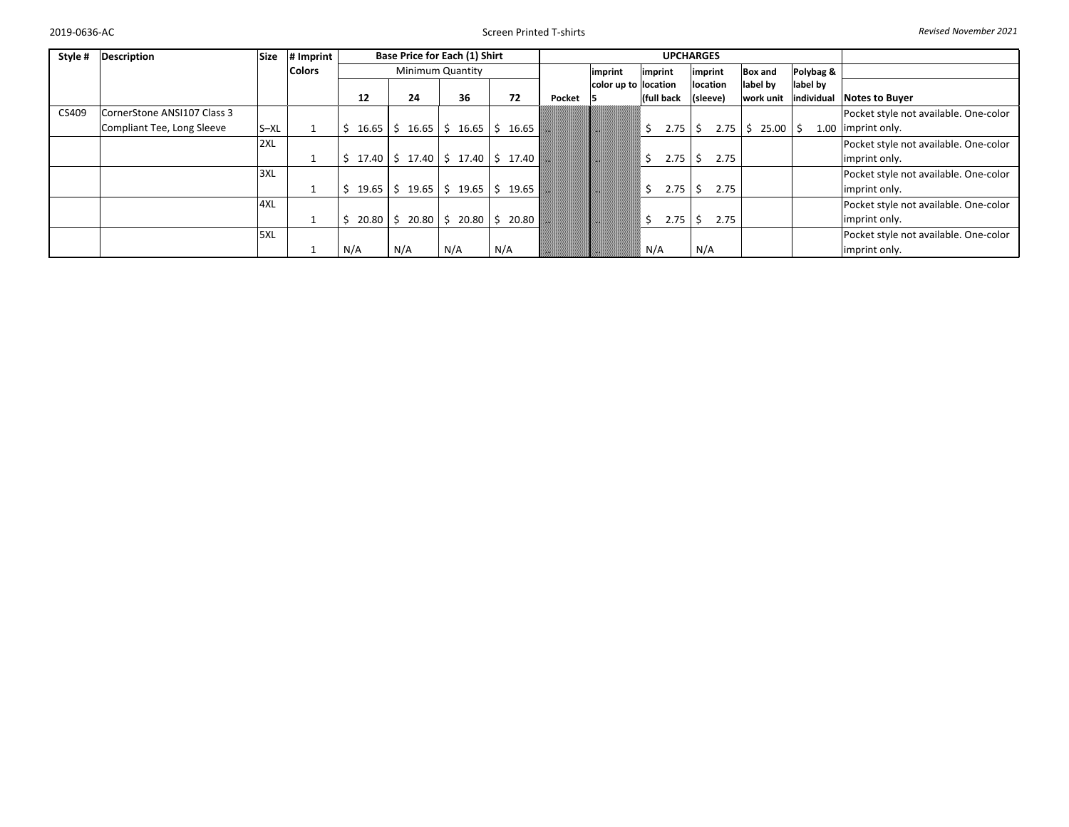Screen Printed T‐shirts *Revised November 2021*

| Style # | <b>Description</b>          | <b>Size</b> | # Imprint     |     |                  | Base Price for Each (1) Shirt                               |           |         |        |                      |         |            | <b>UPCHARGES</b> |           |                 |            |                                       |
|---------|-----------------------------|-------------|---------------|-----|------------------|-------------------------------------------------------------|-----------|---------|--------|----------------------|---------|------------|------------------|-----------|-----------------|------------|---------------------------------------|
|         |                             |             | <b>Colors</b> |     | Minimum Quantity |                                                             |           | imprint |        | imprint              | imprint |            | <b>Box and</b>   | Polybag & |                 |            |                                       |
|         |                             |             |               |     |                  |                                                             |           |         |        | color up to location |         |            | location         |           | label by        | label by   |                                       |
|         |                             |             |               |     | 12               | 24                                                          | 36        | 72      | Pocket |                      |         | (full back | (sleeve)         |           | work unit       | individual | <b>Notes to Buyer</b>                 |
| CS409   | CornerStone ANSI107 Class 3 |             |               |     |                  |                                                             |           |         |        |                      |         |            |                  |           |                 |            | Pocket style not available. One-color |
|         | Compliant Tee, Long Sleeve  | S-XL        |               |     |                  | $16.65$   \$ $16.65$   \$ $16.65$   \$ $16.65$              |           |         |        |                      | \$      | 2.75       |                  |           | $2.75$ \$ 25.00 |            | 1.00 limprint only.                   |
|         |                             | 2XL         |               |     |                  |                                                             |           |         |        |                      |         |            |                  |           |                 |            | Pocket style not available. One-color |
|         |                             |             |               |     |                  | $17.40$   \$ 17.40   \$ 17.40   \$ 17.40                    |           |         |        |                      | Ś.      | 2.75       |                  | 2.75      |                 |            | imprint only.                         |
|         |                             | 3XL         |               |     |                  |                                                             |           |         |        |                      |         |            |                  |           |                 |            | Pocket style not available. One-color |
|         |                             |             | ᆠ             |     | 19.65            | $\frac{1}{2}$ \$ 19.65 $\frac{1}{2}$ \$ 19.65 $\frac{1}{2}$ |           | 19.65   |        |                      | \$      | 2.75       |                  | 2.75      |                 |            | imprint only.                         |
|         |                             | 4XL         |               |     |                  |                                                             |           |         |        |                      |         |            |                  |           |                 |            | Pocket style not available. One-color |
|         |                             |             |               |     | 20.80            | 20.80 \$                                                    | $20.80$ S | 20.80   |        |                      | Ś.      | 2.75       |                  | 2.75      |                 |            | imprint only.                         |
|         |                             | 5XL         |               |     |                  |                                                             |           |         |        |                      |         |            |                  |           |                 |            | Pocket style not available. One-color |
|         |                             |             |               | N/A |                  | N/A                                                         | N/A       | N/A     |        |                      | N/A     |            | N/A              |           |                 |            | imprint only.                         |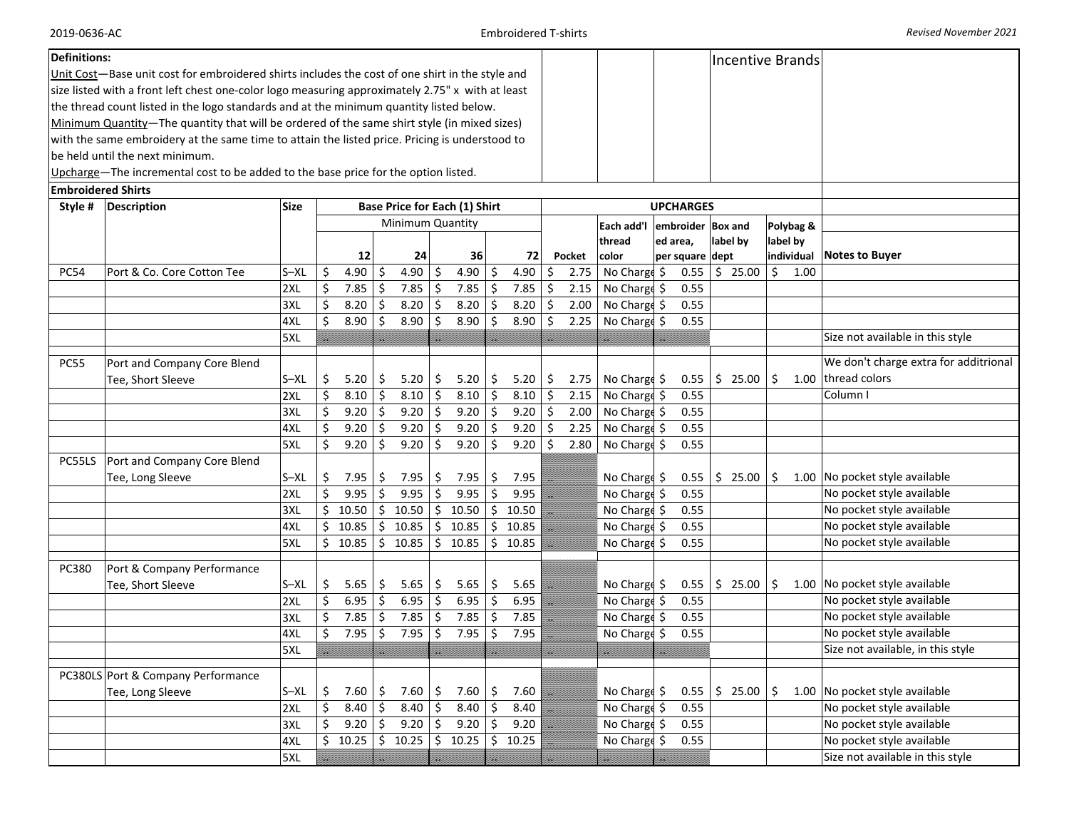2019‐0636‐AC

| <b>Definitions:</b>                                                                  |                                                                                                  |            |          |              |            |                                                             |           |                    |                  |              |                                                                                                                                                                                                                                |        |                              |                  |                             |              |               | <b>Incentive Brands</b> |                                       |
|--------------------------------------------------------------------------------------|--------------------------------------------------------------------------------------------------|------------|----------|--------------|------------|-------------------------------------------------------------|-----------|--------------------|------------------|--------------|--------------------------------------------------------------------------------------------------------------------------------------------------------------------------------------------------------------------------------|--------|------------------------------|------------------|-----------------------------|--------------|---------------|-------------------------|---------------------------------------|
|                                                                                      | Unit Cost-Base unit cost for embroidered shirts includes the cost of one shirt in the style and  |            |          |              |            |                                                             |           |                    |                  |              |                                                                                                                                                                                                                                |        |                              |                  |                             |              |               |                         |                                       |
|                                                                                      | size listed with a front left chest one-color logo measuring approximately 2.75" x with at least |            |          |              |            |                                                             |           |                    |                  |              |                                                                                                                                                                                                                                |        |                              |                  |                             |              |               |                         |                                       |
|                                                                                      | the thread count listed in the logo standards and at the minimum quantity listed below.          |            |          |              |            |                                                             |           |                    |                  |              |                                                                                                                                                                                                                                |        |                              |                  |                             |              |               |                         |                                       |
|                                                                                      | Minimum Quantity-The quantity that will be ordered of the same shirt style (in mixed sizes)      |            |          |              |            |                                                             |           |                    |                  |              |                                                                                                                                                                                                                                |        |                              |                  |                             |              |               |                         |                                       |
|                                                                                      | with the same embroidery at the same time to attain the listed price. Pricing is understood to   |            |          |              |            |                                                             |           |                    |                  |              |                                                                                                                                                                                                                                |        |                              |                  |                             |              |               |                         |                                       |
|                                                                                      | be held until the next minimum.                                                                  |            |          |              |            |                                                             |           |                    |                  |              |                                                                                                                                                                                                                                |        |                              |                  |                             |              |               |                         |                                       |
|                                                                                      | Upcharge-The incremental cost to be added to the base price for the option listed.               |            |          |              |            |                                                             |           |                    |                  |              |                                                                                                                                                                                                                                |        |                              |                  |                             |              |               |                         |                                       |
| <b>Embroidered Shirts</b>                                                            |                                                                                                  |            |          |              |            |                                                             |           |                    |                  |              |                                                                                                                                                                                                                                |        |                              |                  |                             |              |               |                         |                                       |
| <b>Base Price for Each (1) Shirt</b><br>Style #<br><b>Description</b><br><b>Size</b> |                                                                                                  |            |          |              |            |                                                             |           |                    |                  |              |                                                                                                                                                                                                                                |        |                              | <b>UPCHARGES</b> |                             |              |               |                         |                                       |
|                                                                                      | Minimum Quantity                                                                                 |            |          |              |            |                                                             |           |                    |                  |              | Each add'l                                                                                                                                                                                                                     |        | embroider Box and            |                  |                             | Polybag &    |               |                         |                                       |
|                                                                                      |                                                                                                  |            |          |              |            |                                                             |           |                    |                  |              |                                                                                                                                                                                                                                |        | thread                       | ed area,         |                             | label by     |               | label by                |                                       |
|                                                                                      |                                                                                                  |            |          | 12           |            | 24                                                          |           | 36                 |                  | 72           |                                                                                                                                                                                                                                | Pocket | color                        |                  | per square dept             |              |               | individual              | <b>Notes to Buyer</b>                 |
| <b>PC54</b>                                                                          | Port & Co. Core Cotton Tee                                                                       | $S - XL$   | \$       | 4.90         | -\$        | 4.90 \$                                                     |           | 4.90 $\frac{1}{5}$ |                  | 4.90         | \$                                                                                                                                                                                                                             | 2.75   | No Charge \$                 |                  | 0.55                        | \$25.00      | $\frac{1}{2}$ | 1.00                    |                                       |
|                                                                                      |                                                                                                  | 2XL        | \$       | 7.85         | -\$        | 7.85                                                        | \$        | 7.85               | $\vert$ \$       | 7.85         | \$                                                                                                                                                                                                                             | 2.15   | No Charge \$                 |                  | 0.55                        |              |               |                         |                                       |
|                                                                                      |                                                                                                  | 3XL        | \$       | 8.20         | -\$        | 8.20                                                        | \$        | 8.20               | $\vert$ \$       | 8.20         | \$.                                                                                                                                                                                                                            | 2.00   | No Charge \$                 |                  | 0.55                        |              |               |                         |                                       |
|                                                                                      |                                                                                                  | 4XL        | \$       | 8.90         | \$         | 8.90                                                        | \$        | 8.90               | \$               | 8.90         | \$                                                                                                                                                                                                                             | 2.25   | No Charge \$                 |                  | 0.55                        |              |               |                         |                                       |
|                                                                                      |                                                                                                  | 5XL        |          |              |            |                                                             |           |                    |                  |              |                                                                                                                                                                                                                                |        |                              |                  |                             |              |               |                         | Size not available in this style      |
| <b>PC55</b>                                                                          | Port and Company Core Blend                                                                      |            |          |              |            |                                                             |           |                    |                  |              |                                                                                                                                                                                                                                |        |                              |                  |                             |              |               |                         | We don't charge extra for additrional |
|                                                                                      | Tee, Short Sleeve                                                                                | $S - XL$   | \$       | 5.20         | -\$        | 5.20                                                        | \$        | 5.20               | \$               | 5.20         | \$                                                                                                                                                                                                                             | 2.75   | No Charge \$                 |                  | 0.55                        | \$25.00      | \$            |                         | 1.00 thread colors                    |
|                                                                                      |                                                                                                  | 2XL        | \$       | 8.10         | -\$        | 8.10                                                        | \$        | $8.10$ \$          |                  | 8.10         | \$                                                                                                                                                                                                                             | 2.15   | No Charge \$                 |                  | 0.55                        |              |               |                         | Column I                              |
|                                                                                      |                                                                                                  | 3XL        | \$       | 9.20         | -\$        | 9.20                                                        | \$        | $9.20$ \$          |                  | 9.20         | \$                                                                                                                                                                                                                             | 2.00   | No Charge \$                 |                  | 0.55                        |              |               |                         |                                       |
|                                                                                      |                                                                                                  | 4XL        | Ś        | 9.20         | Ŝ.         | 9.20                                                        | \$        | 9.20               | -\$              | 9.20         | Ś.                                                                                                                                                                                                                             | 2.25   | No Charge \$                 |                  | 0.55                        |              |               |                         |                                       |
|                                                                                      |                                                                                                  | 5XL        | \$       | 9.20         | Ŝ.         | 9.20                                                        | \$        | 9.20               | S.               | 9.20         | Ŝ.                                                                                                                                                                                                                             | 2.80   | No Charge \$                 |                  | 0.55                        |              |               |                         |                                       |
| PC55LS                                                                               | Port and Company Core Blend                                                                      |            |          |              |            |                                                             |           |                    |                  |              |                                                                                                                                                                                                                                |        |                              |                  |                             |              |               |                         |                                       |
|                                                                                      | Tee, Long Sleeve                                                                                 | $S - XL$   | \$       | 7.95         | -S         | 7.95                                                        | \$        | 7.95               | \$               | $7.95$       |                                                                                                                                                                                                                                |        | No Charge \$                 |                  | 0.55                        | $$25.00$ $$$ |               |                         | 1.00 No pocket style available        |
|                                                                                      |                                                                                                  | 2XL        | \$       | 9.95         | -\$        | 9.95                                                        | \$        | 9.95               | \$               | 9.95         | e e de la construcción de la construcción de la construcción de la construcción de la construcción de la construcción de la construcción de la construcción de la construcción de la construcción de la construcción de la con |        | No Charge \$                 |                  | 0.55                        |              |               |                         | No pocket style available             |
|                                                                                      |                                                                                                  | 3XL        | \$       | 10.50        |            | \$10.50                                                     |           | \$10.50            | \$               | 10.50        | ▁                                                                                                                                                                                                                              |        | No Charge \$                 |                  | 0.55                        |              |               |                         | No pocket style available             |
|                                                                                      |                                                                                                  | 4XL        | \$       | 10.85        |            | \$10.85                                                     |           | \$10.85            | \$               | 10.85        |                                                                                                                                                                                                                                |        | No Charge \$                 |                  | 0.55                        |              |               |                         | No pocket style available             |
|                                                                                      |                                                                                                  | 5XL        |          | \$10.85      |            | $\frac{1}{2}$ 10.85 $\frac{1}{2}$ 10.85 $\frac{1}{2}$ 10.85 |           |                    |                  |              |                                                                                                                                                                                                                                |        | No Charge \$                 |                  | 0.55                        |              |               |                         | No pocket style available             |
|                                                                                      |                                                                                                  |            |          |              |            |                                                             |           |                    |                  |              |                                                                                                                                                                                                                                |        |                              |                  |                             |              |               |                         |                                       |
| PC380                                                                                | Port & Company Performance                                                                       | $S - XL$   |          |              |            |                                                             |           |                    |                  |              |                                                                                                                                                                                                                                |        |                              |                  |                             |              |               |                         | 1.00 No pocket style available        |
|                                                                                      | Tee, Short Sleeve                                                                                |            | \$<br>\$ | 5.65<br>6.95 | -\$        | 5.65<br>6.95                                                | \$.<br>\$ | 5.65               | \$<br>$\vert$ \$ | 5.65<br>6.95 | B                                                                                                                                                                                                                              |        | No Charge \$<br>No Charge \$ |                  | $0.55$   \$ 25.00  <br>0.55 |              | -\$           |                         | No pocket style available             |
|                                                                                      |                                                                                                  | 2XL<br>3XL | \$       | 7.85         | -\$<br>Ŝ.  | 7.85                                                        | \$        | 6.95<br>7.85       | $\vert$ \$       | 7.85         |                                                                                                                                                                                                                                |        | No Charge \$                 |                  | 0.55                        |              |               |                         | No pocket style available             |
|                                                                                      |                                                                                                  | 4XL        | \$       | 7.95         | Ŝ.         | 7.95                                                        | \$        | 7.95               | Ŝ.               | 7.95         |                                                                                                                                                                                                                                |        | No Charge \$                 |                  | 0.55                        |              |               |                         | No pocket style available             |
|                                                                                      |                                                                                                  | 5XL        |          |              |            |                                                             |           |                    |                  |              |                                                                                                                                                                                                                                |        |                              |                  |                             |              |               |                         | Size not available, in this style     |
|                                                                                      |                                                                                                  |            |          |              |            |                                                             |           |                    |                  |              |                                                                                                                                                                                                                                |        |                              |                  |                             |              |               |                         |                                       |
|                                                                                      | PC380LS Port & Company Performance                                                               |            |          |              |            |                                                             |           |                    |                  |              |                                                                                                                                                                                                                                |        |                              |                  |                             |              |               |                         |                                       |
|                                                                                      | Tee, Long Sleeve                                                                                 | $S - XL$   | \$       | 7.60         | -\$        | 7.60                                                        | \$.       | $7.60$ \$          |                  | 7.60         |                                                                                                                                                                                                                                |        | No Charge \$                 |                  | 0.55                        | \$25.00      | \$            |                         | 1.00 No pocket style available        |
|                                                                                      |                                                                                                  | 2XL        | \$       | 8.40         | -\$        | 8.40                                                        | \$        | $8.40 \,$ \$       |                  | 8.40         |                                                                                                                                                                                                                                |        | No Charge \$                 |                  | 0.55                        |              |               |                         | No pocket style available             |
|                                                                                      |                                                                                                  | 3XL        | \$       | 9.20         | $\vert$ \$ | $9.20$ \$                                                   |           | $9.20$ \$          |                  | 9.20         |                                                                                                                                                                                                                                |        | No Charge \$                 |                  | 0.55                        |              |               |                         | No pocket style available             |
|                                                                                      |                                                                                                  | 4XL        | \$       | 10.25        |            | $$10.25$ $$10.25$                                           |           |                    | \$               | $10.25$      |                                                                                                                                                                                                                                |        | No Charge \$                 |                  | 0.55                        |              |               |                         | No pocket style available             |
|                                                                                      |                                                                                                  | 5XL        |          |              | U.         |                                                             |           |                    |                  |              |                                                                                                                                                                                                                                |        |                              |                  |                             |              |               |                         | Size not available in this style      |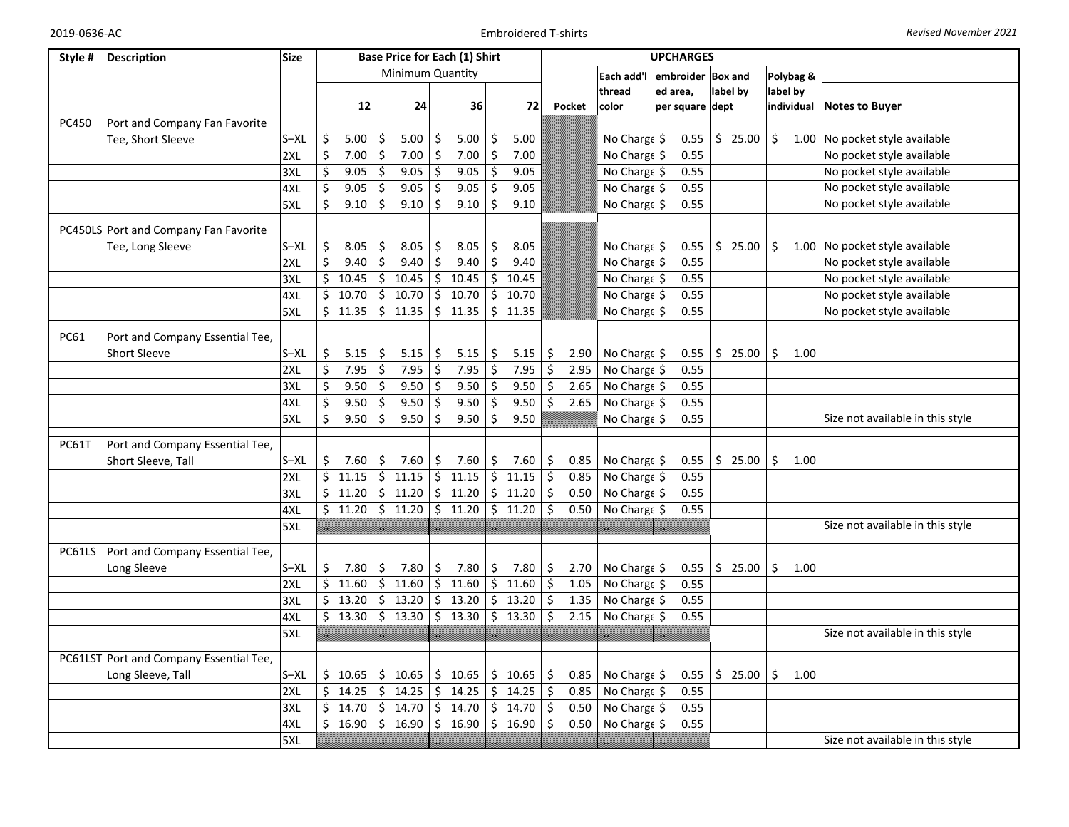| Style #      | <b>Description</b>                      | <b>Size</b> |             |                     |                  |    | <b>Base Price for Each (1) Shirt</b> |         |           |            |                                      | <b>UPCHARGES</b> |      |                |            |                                  |
|--------------|-----------------------------------------|-------------|-------------|---------------------|------------------|----|--------------------------------------|---------|-----------|------------|--------------------------------------|------------------|------|----------------|------------|----------------------------------|
|              |                                         |             |             |                     | Minimum Quantity |    |                                      |         |           |            | Each add'l                           | embroider        |      | <b>Box and</b> | Polybag &  |                                  |
|              |                                         |             |             |                     |                  |    |                                      |         |           |            | thread                               | ed area,         |      | label by       | label by   |                                  |
|              |                                         |             | 12          |                     | 24               |    | 36                                   |         | 72        | Pocket     | color                                | per square dept  |      |                | individual | <b>Notes to Buyer</b>            |
| PC450        | Port and Company Fan Favorite           |             |             |                     |                  |    |                                      |         |           |            |                                      |                  |      |                |            |                                  |
|              | Tee, Short Sleeve                       | $S - XL$    | \$<br>5.00  | \$                  | 5.00             | \$ | 5.00                                 | \$      | 5.00      |            | No Charge \$                         |                  | 0.55 | \$25.00        | \$         | 1.00 No pocket style available   |
|              |                                         | 2XL         | \$<br>7.00  | \$                  | 7.00             | \$ | 7.00                                 | \$      | 7.00      |            | No Charge \$                         |                  | 0.55 |                |            | No pocket style available        |
|              |                                         | 3XL         | \$<br>9.05  | $\ddot{\mathsf{S}}$ | 9.05             | \$ | 9.05                                 | \$      | 9.05      |            | No Charge \$                         |                  | 0.55 |                |            | No pocket style available        |
|              |                                         | 4XL         | \$<br>9.05  | Ŝ.                  | 9.05             | \$ | 9.05                                 | Ŝ.      | 9.05      |            | No Charge \$                         |                  | 0.55 |                |            | No pocket style available        |
|              |                                         | 5XL         | \$<br>9.10  | \$                  | 9.10             | \$ | 9.10                                 | \$      | 9.10      |            | No Charge \$                         |                  | 0.55 |                |            | No pocket style available        |
|              |                                         |             |             |                     |                  |    |                                      |         |           |            |                                      |                  |      |                |            |                                  |
|              | PC450LS Port and Company Fan Favorite   |             |             |                     |                  |    |                                      |         |           |            |                                      |                  |      |                |            |                                  |
|              | Tee, Long Sleeve                        | $S - XL$    | \$<br>8.05  | \$                  | 8.05             | \$ | 8.05                                 | \$      | 8.05      |            | No Charge \$                         |                  | 0.55 | \$25.00        | \$         | 1.00 No pocket style available   |
|              |                                         | 2XL         | \$<br>9.40  | \$                  | 9.40             | \$ | 9.40                                 | Ś.      | 9.40      |            | No Charge \$                         |                  | 0.55 |                |            | No pocket style available        |
|              |                                         | 3XL         | \$<br>10.45 | \$                  | 10.45            |    | \$10.45                              | \$      | 10.45     |            | No Charge \$                         |                  | 0.55 |                |            | No pocket style available        |
|              |                                         | 4XL         | 10.70<br>\$ | \$                  | 10.70            |    | $\sqrt{5}$ 10.70                     | \$.     | 10.70     |            | No Charge \$                         |                  | 0.55 |                |            | No pocket style available        |
|              |                                         | 5XL         | \$<br>11.35 |                     | \$11.35          |    | \$11.35                              |         | \$11.35   |            | No Charge \$                         |                  | 0.55 |                |            | No pocket style available        |
| PC61         | Port and Company Essential Tee,         |             |             |                     |                  |    |                                      |         |           |            |                                      |                  |      |                |            |                                  |
|              | <b>Short Sleeve</b>                     | $S - XL$    | \$<br>5.15  | \$                  | 5.15             | \$ | 5.15                                 | \$      | 5.15      | \$<br>2.90 | No Charge \$                         |                  | 0.55 | \$25.00        | \$<br>1.00 |                                  |
|              |                                         | 2XL         | \$<br>7.95  | Ś.                  | 7.95             | \$ | 7.95                                 | \$      | 7.95      | \$<br>2.95 | No Charge \$                         |                  | 0.55 |                |            |                                  |
|              |                                         | 3XL         | \$<br>9.50  | \$                  | 9.50             | \$ | 9.50                                 | $\zeta$ | 9.50      | \$<br>2.65 | No Charge \$                         |                  | 0.55 |                |            |                                  |
|              |                                         | 4XL         | \$<br>9.50  | \$                  | 9.50             | \$ | 9.50                                 | \$      | 9.50      | \$<br>2.65 | No Charge \$                         |                  | 0.55 |                |            |                                  |
|              |                                         | 5XL         | \$<br>9.50  | Ŝ.                  | 9.50             | Ś. | 9.50                                 | Ŝ.      | 9.50      |            | No Charge \$                         |                  | 0.55 |                |            | Size not available in this style |
|              |                                         |             |             |                     |                  |    |                                      |         |           |            |                                      |                  |      |                |            |                                  |
| <b>PC61T</b> | Port and Company Essential Tee,         |             |             |                     |                  |    |                                      |         |           |            |                                      |                  |      |                |            |                                  |
|              | Short Sleeve, Tall                      | $S - XL$    | \$<br>7.60  | \$                  | 7.60             | \$ | 7.60                                 | \$      | 7.60      | \$<br>0.85 | No Charge \$                         |                  | 0.55 | \$25.00        | \$<br>1.00 |                                  |
|              |                                         | 2XL         | \$<br>11.15 | $\zeta$             | 11.15            |    | $5 \t11.15$                          | \$      | 11.15     | \$<br>0.85 | No Charge \$                         |                  | 0.55 |                |            |                                  |
|              |                                         | 3XL         | \$<br>11.20 | \$                  | 11.20            |    | \$11.20                              | \$      | 11.20     | \$<br>0.50 | No Charge \$                         |                  | 0.55 |                |            |                                  |
|              |                                         | 4XL         | \$11.20     |                     | \$11.20          |    | \$11.20                              |         | $5$ 11.20 | \$<br>0.50 | No Charge \$                         |                  | 0.55 |                |            |                                  |
|              |                                         | 5XL         |             |                     |                  | U. |                                      |         |           |            |                                      |                  |      |                |            | Size not available in this style |
| PC61LS       | Port and Company Essential Tee,         |             |             |                     |                  |    |                                      |         |           |            |                                      |                  |      |                |            |                                  |
|              | Long Sleeve                             | $S - XL$    | \$<br>7.80  | \$                  | 7.80             | \$ | 7.80                                 | \$      | 7.80      | \$<br>2.70 | No Charge \$                         |                  | 0.55 | \$25.00        | \$<br>1.00 |                                  |
|              |                                         | 2XL         | \$<br>11.60 |                     | \$11.60          |    | \$11.60                              | \$      | 11.60     | \$<br>1.05 | No Charge \$                         |                  | 0.55 |                |            |                                  |
|              |                                         | 3XL         | \$<br>13.20 | \$                  | 13.20            |    | \$13.20                              | \$      | 13.20     | 1.35<br>\$ | No Charge \$                         |                  | 0.55 |                |            |                                  |
|              |                                         | 4XL         | \$<br>13.30 |                     | \$13.30          |    | \$13.30                              |         | $5$ 13.30 | Ś.<br>2.15 | $\overline{\mathsf{No}}$ Charge $\$$ |                  | 0.55 |                |            |                                  |
|              |                                         | 5XL         |             |                     |                  |    |                                      |         |           |            |                                      |                  |      |                |            | Size not available in this style |
|              |                                         |             |             |                     |                  |    |                                      |         |           |            |                                      |                  |      |                |            |                                  |
|              | PC61LST Port and Company Essential Tee, |             |             |                     |                  |    |                                      |         |           |            |                                      |                  |      |                |            |                                  |
|              | Long Sleeve, Tall                       | $S - XL$    | \$<br>10.65 | \$                  | 10.65            |    | \$10.65                              |         | \$10.65   | \$<br>0.85 | No Charge \$                         |                  | 0.55 | \$25.00        | \$<br>1.00 |                                  |
|              |                                         | 2XL         | \$<br>14.25 | \$                  | 14.25            |    | \$14.25                              |         | \$14.25   | \$<br>0.85 | No Charge \$                         |                  | 0.55 |                |            |                                  |
|              |                                         | 3XL         | \$<br>14.70 | Ŝ.                  | 14.70            |    | \$14.70                              |         | \$14.70   | \$<br>0.50 | No Charge \$                         |                  | 0.55 |                |            |                                  |
|              |                                         | 4XL         | \$<br>16.90 | \$                  | 16.90            |    | \$16.90                              | \$      | 16.90     | \$<br>0.50 | No Charge \$                         |                  | 0.55 |                |            |                                  |
|              |                                         | 5XL         |             |                     |                  |    |                                      |         |           |            |                                      |                  |      |                |            | Size not available in this style |